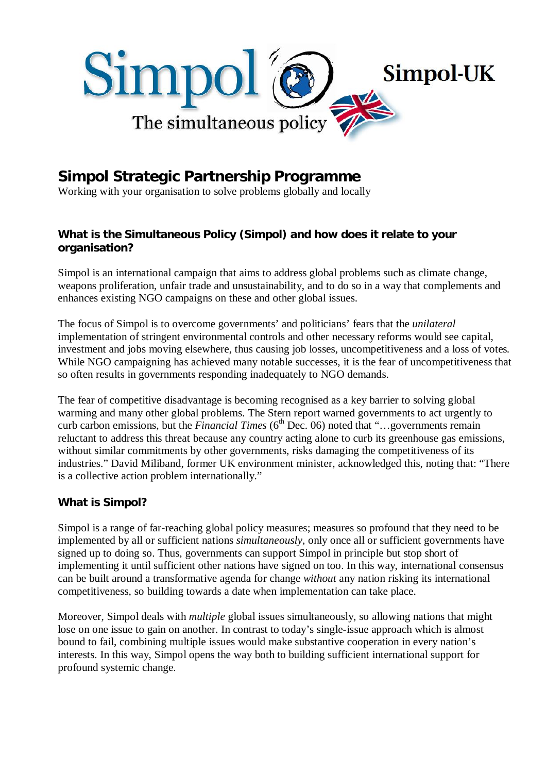

# **Simpol Strategic Partnership Programme**

Working with your organisation to solve problems globally and locally

## **What is the Simultaneous Policy (Simpol) and how does it relate to your organisation?**

Simpol is an international campaign that aims to address global problems such as climate change, weapons proliferation, unfair trade and unsustainability, and to do so in a way that complements and enhances existing NGO campaigns on these and other global issues.

The focus of Simpol is to overcome governments' and politicians' fears that the *unilateral* implementation of stringent environmental controls and other necessary reforms would see capital, investment and jobs moving elsewhere, thus causing job losses, uncompetitiveness and a loss of votes. While NGO campaigning has achieved many notable successes, it is the fear of uncompetitiveness that so often results in governments responding inadequately to NGO demands.

The fear of competitive disadvantage is becoming recognised as a key barrier to solving global warming and many other global problems. The Stern report warned governments to act urgently to curb carbon emissions, but the *Financial Times* (6<sup>th</sup> Dec. 06) noted that "...governments remain reluctant to address this threat because any country acting alone to curb its greenhouse gas emissions, without similar commitments by other governments, risks damaging the competitiveness of its industries." David Miliband, former UK environment minister, acknowledged this, noting that: "There is a collective action problem internationally."

### **What is Simpol?**

Simpol is a range of far-reaching global policy measures; measures so profound that they need to be implemented by all or sufficient nations *simultaneously*, only once all or sufficient governments have signed up to doing so. Thus, governments can support Simpol in principle but stop short of implementing it until sufficient other nations have signed on too. In this way, international consensus can be built around a transformative agenda for change *without* any nation risking its international competitiveness, so building towards a date when implementation can take place.

Moreover, Simpol deals with *multiple* global issues simultaneously, so allowing nations that might lose on one issue to gain on another. In contrast to today's single-issue approach which is almost bound to fail, combining multiple issues would make substantive cooperation in every nation's interests. In this way, Simpol opens the way both to building sufficient international support for profound systemic change.